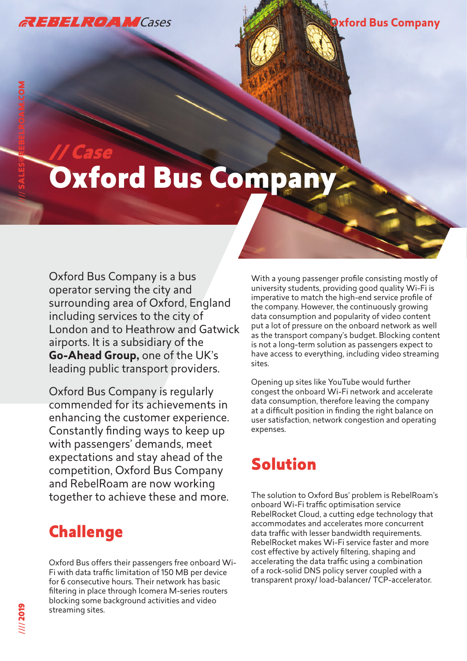

//// SALES@REBELROAM.COM

# // Case Oxford Bus Company

Oxford Bus Company is a bus operator serving the city and surrounding area of Oxford, England including services to the city of London and to Heathrow and Gatwick airports. It is a subsidiary of the **Go-Ahead Group,** one of the UK's leading public transport providers.

Oxford Bus Company is regularly commended for its achievements in enhancing the customer experience. Constantly finding ways to keep up with passengers' demands, meet expectations and stay ahead of the competition, Oxford Bus Company and RebelRoam are now working together to achieve these and more.

#### **Challenge**

Oxford Bus offers their passengers free onboard Wi-Fi with data traffic limitation of 150 MB per device for 6 consecutive hours. Their network has basic filtering in place through Icomera M-series routers blocking some background activities and video streaming sites.

With a young passenger profile consisting mostly of university students, providing good quality Wi-Fi is imperative to match the high-end service profile of the company. However, the continuously growing data consumption and popularity of video content put a lot of pressure on the onboard network as well as the transport company's budget. Blocking content is not a long-term solution as passengers expect to have access to everything, including video streaming sites.

Opening up sites like YouTube would further congest the onboard Wi-Fi network and accelerate data consumption, therefore leaving the company at a difficult position in finding the right balance on user satisfaction, network congestion and operating expenses.

## Solution

The solution to Oxford Bus' problem is RebelRoam's onboard Wi-Fi traffic optimisation service RebelRocket Cloud, a cutting edge technology that accommodates and accelerates more concurrent data traffic with lesser bandwidth requirements. RebelRocket makes Wi-Fi service faster and more cost effective by actively filtering, shaping and accelerating the data traffic using a combination of a rock-solid DNS policy server coupled with a transparent proxy/ load-balancer/ TCP-accelerator.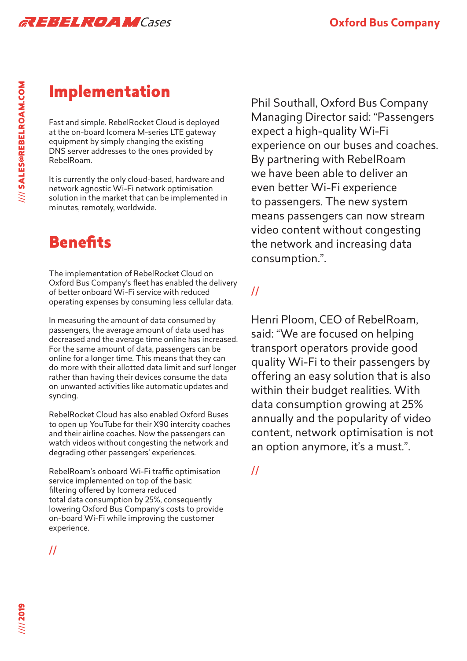

### Implementation

Fast and simple. RebelRocket Cloud is deployed at the on-board Icomera M-series LTE gateway equipment by simply changing the existing DNS server addresses to the ones provided by RebelRoam.

It is currently the only cloud-based, hardware and network agnostic Wi-Fi network optimisation solution in the market that can be implemented in minutes, remotely, worldwide.

### **Benefits**

The implementation of RebelRocket Cloud on Oxford Bus Company's fleet has enabled the delivery of better onboard Wi-Fi service with reduced operating expenses by consuming less cellular data.

In measuring the amount of data consumed by passengers, the average amount of data used has decreased and the average time online has increased. For the same amount of data, passengers can be online for a longer time. This means that they can do more with their allotted data limit and surf longer rather than having their devices consume the data on unwanted activities like automatic updates and syncing.

RebelRocket Cloud has also enabled Oxford Buses to open up YouTube for their X90 intercity coaches and their airline coaches. Now the passengers can watch videos without congesting the network and degrading other passengers' experiences.

RebelRoam's onboard Wi-Fi traffic optimisation service implemented on top of the basic filtering offered by Icomera reduced total data consumption by 25%, consequently lowering Oxford Bus Company's costs to provide on-board Wi-Fi while improving the customer experience.

Phil Southall, Oxford Bus Company Managing Director said: "Passengers expect a high-quality Wi-Fi experience on our buses and coaches. By partnering with RebelRoam we have been able to deliver an even better Wi-Fi experience to passengers. The new system means passengers can now stream video content without congesting the network and increasing data consumption.".

#### //

Henri Ploom, CEO of RebelRoam, said: "We are focused on helping transport operators provide good quality Wi-Fi to their passengers by offering an easy solution that is also within their budget realities. With data consumption growing at 25% annually and the popularity of video content, network optimisation is not an option anymore, it's a must.".

//

//// 2019

//